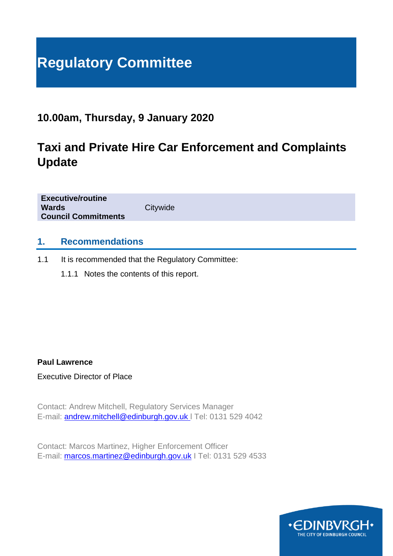# **Regulatory Committee**

# **10.00am, Thursday, 9 January 2020**

# **Taxi and Private Hire Car Enforcement and Complaints Update**

**Executive/routine Wards** Citywide **Council Commitments**

#### **1. Recommendations**

1.1 It is recommended that the Regulatory Committee:

1.1.1 Notes the contents of this report.

**Paul Lawrence**

Executive Director of Place

Contact: Andrew Mitchell, Regulatory Services Manager E-mail: [andrew.mitchell@edinburgh.gov.uk](mailto:andrew.mitchell@edinburgh.gov.uk) l Tel: 0131 529 4042

Contact: Marcos Martinez, Higher Enforcement Officer E-mail: [marcos.martinez@edinburgh.gov.uk](mailto:marcos.martinez@edinburgh.gov.uk) | Tel: 0131 529 4533

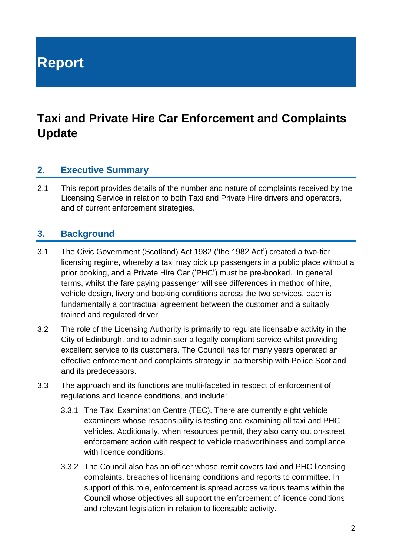**Report**

# **Taxi and Private Hire Car Enforcement and Complaints Update**

#### **2. Executive Summary**

2.1 This report provides details of the number and nature of complaints received by the Licensing Service in relation to both Taxi and Private Hire drivers and operators, and of current enforcement strategies.

#### **3. Background**

- 3.1 The Civic Government (Scotland) Act 1982 ('the 1982 Act') created a two-tier licensing regime, whereby a taxi may pick up passengers in a public place without a prior booking, and a Private Hire Car ('PHC') must be pre-booked. In general terms, whilst the fare paying passenger will see differences in method of hire, vehicle design, livery and booking conditions across the two services, each is fundamentally a contractual agreement between the customer and a suitably trained and regulated driver.
- 3.2 The role of the Licensing Authority is primarily to regulate licensable activity in the City of Edinburgh, and to administer a legally compliant service whilst providing excellent service to its customers. The Council has for many years operated an effective enforcement and complaints strategy in partnership with Police Scotland and its predecessors.
- 3.3 The approach and its functions are multi-faceted in respect of enforcement of regulations and licence conditions, and include:
	- 3.3.1 The Taxi Examination Centre (TEC). There are currently eight vehicle examiners whose responsibility is testing and examining all taxi and PHC vehicles. Additionally, when resources permit, they also carry out on-street enforcement action with respect to vehicle roadworthiness and compliance with licence conditions.
	- 3.3.2 The Council also has an officer whose remit covers taxi and PHC licensing complaints, breaches of licensing conditions and reports to committee. In support of this role, enforcement is spread across various teams within the Council whose objectives all support the enforcement of licence conditions and relevant legislation in relation to licensable activity.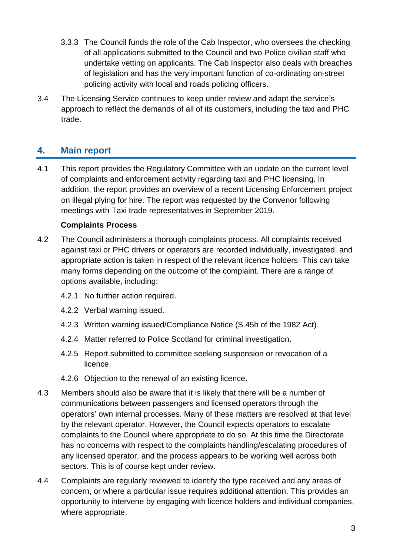- 3.3.3 The Council funds the role of the Cab Inspector, who oversees the checking of all applications submitted to the Council and two Police civilian staff who undertake vetting on applicants. The Cab Inspector also deals with breaches of legislation and has the very important function of co-ordinating on-street policing activity with local and roads policing officers.
- 3.4 The Licensing Service continues to keep under review and adapt the service's approach to reflect the demands of all of its customers, including the taxi and PHC trade.

## **4. Main report**

4.1 This report provides the Regulatory Committee with an update on the current level of complaints and enforcement activity regarding taxi and PHC licensing. In addition, the report provides an overview of a recent Licensing Enforcement project on illegal plying for hire. The report was requested by the Convenor following meetings with Taxi trade representatives in September 2019.

#### **Complaints Process**

- 4.2 The Council administers a thorough complaints process. All complaints received against taxi or PHC drivers or operators are recorded individually, investigated, and appropriate action is taken in respect of the relevant licence holders. This can take many forms depending on the outcome of the complaint. There are a range of options available, including:
	- 4.2.1 No further action required.
	- 4.2.2 Verbal warning issued.
	- 4.2.3 Written warning issued/Compliance Notice (S.45h of the 1982 Act).
	- 4.2.4 Matter referred to Police Scotland for criminal investigation.
	- 4.2.5 Report submitted to committee seeking suspension or revocation of a licence.
	- 4.2.6 Objection to the renewal of an existing licence.
- 4.3 Members should also be aware that it is likely that there will be a number of communications between passengers and licensed operators through the operators' own internal processes. Many of these matters are resolved at that level by the relevant operator. However, the Council expects operators to escalate complaints to the Council where appropriate to do so. At this time the Directorate has no concerns with respect to the complaints handling/escalating procedures of any licensed operator, and the process appears to be working well across both sectors. This is of course kept under review.
- 4.4 Complaints are regularly reviewed to identify the type received and any areas of concern, or where a particular issue requires additional attention. This provides an opportunity to intervene by engaging with licence holders and individual companies, where appropriate.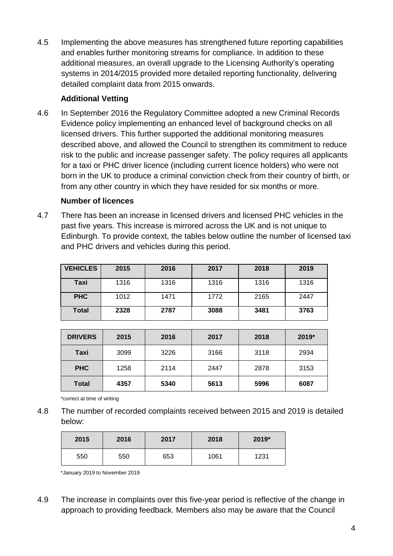4.5 Implementing the above measures has strengthened future reporting capabilities and enables further monitoring streams for compliance. In addition to these additional measures, an overall upgrade to the Licensing Authority's operating systems in 2014/2015 provided more detailed reporting functionality, delivering detailed complaint data from 2015 onwards.

#### **Additional Vetting**

4.6 In September 2016 the Regulatory Committee adopted a new Criminal Records Evidence policy implementing an enhanced level of background checks on all licensed drivers. This further supported the additional monitoring measures described above, and allowed the Council to strengthen its commitment to reduce risk to the public and increase passenger safety. The policy requires all applicants for a taxi or PHC driver licence (including current licence holders) who were not born in the UK to produce a criminal conviction check from their country of birth, or from any other country in which they have resided for six months or more.

#### **Number of licences**

4.7 There has been an increase in licensed drivers and licensed PHC vehicles in the past five years. This increase is mirrored across the UK and is not unique to Edinburgh. To provide context, the tables below outline the number of licensed taxi and PHC drivers and vehicles during this period.

| <b>VEHICLES</b> | 2015 | 2016 | 2017 | 2018 | 2019 |
|-----------------|------|------|------|------|------|
| Taxi            | 1316 | 1316 | 1316 | 1316 | 1316 |
| <b>PHC</b>      | 1012 | 1471 | 1772 | 2165 | 2447 |
| <b>Total</b>    | 2328 | 2787 | 3088 | 3481 | 3763 |

| <b>DRIVERS</b> | 2015 | 2016 | 2017 | 2018 | 2019* |
|----------------|------|------|------|------|-------|
| Taxi           | 3099 | 3226 | 3166 | 3118 | 2934  |
| <b>PHC</b>     | 1258 | 2114 | 2447 | 2878 | 3153  |
| <b>Total</b>   | 4357 | 5340 | 5613 | 5996 | 6087  |

\*correct at time of writing

4.8 The number of recorded complaints received between 2015 and 2019 is detailed below:

| 2015 | 2016 | 2017 | 2018 | 2019* |
|------|------|------|------|-------|
| 550  | 550  | 653  | 1061 | 1231  |

\*January 2019 to November 2019

4.9 The increase in complaints over this five-year period is reflective of the change in approach to providing feedback. Members also may be aware that the Council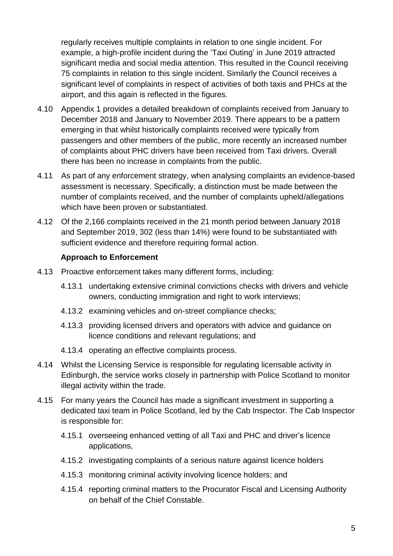regularly receives multiple complaints in relation to one single incident. For example, a high-profile incident during the 'Taxi Outing' in June 2019 attracted significant media and social media attention. This resulted in the Council receiving 75 complaints in relation to this single incident. Similarly the Council receives a significant level of complaints in respect of activities of both taxis and PHCs at the airport, and this again is reflected in the figures.

- 4.10 Appendix 1 provides a detailed breakdown of complaints received from January to December 2018 and January to November 2019. There appears to be a pattern emerging in that whilst historically complaints received were typically from passengers and other members of the public, more recently an increased number of complaints about PHC drivers have been received from Taxi drivers. Overall there has been no increase in complaints from the public.
- 4.11 As part of any enforcement strategy, when analysing complaints an evidence-based assessment is necessary. Specifically, a distinction must be made between the number of complaints received, and the number of complaints upheld/allegations which have been proven or substantiated.
- 4.12 Of the 2,166 complaints received in the 21 month period between January 2018 and September 2019, 302 (less than 14%) were found to be substantiated with sufficient evidence and therefore requiring formal action.

#### **Approach to Enforcement**

- 4.13 Proactive enforcement takes many different forms, including:
	- 4.13.1 undertaking extensive criminal convictions checks with drivers and vehicle owners, conducting immigration and right to work interviews;
	- 4.13.2 examining vehicles and on-street compliance checks;
	- 4.13.3 providing licensed drivers and operators with advice and guidance on licence conditions and relevant regulations; and
	- 4.13.4 operating an effective complaints process.
- 4.14 Whilst the Licensing Service is responsible for regulating licensable activity in Edinburgh, the service works closely in partnership with Police Scotland to monitor illegal activity within the trade.
- 4.15 For many years the Council has made a significant investment in supporting a dedicated taxi team in Police Scotland, led by the Cab Inspector. The Cab Inspector is responsible for:
	- 4.15.1 overseeing enhanced vetting of all Taxi and PHC and driver's licence applications,
	- 4.15.2 investigating complaints of a serious nature against licence holders
	- 4.15.3 monitoring criminal activity involving licence holders; and
	- 4.15.4 reporting criminal matters to the Procurator Fiscal and Licensing Authority on behalf of the Chief Constable.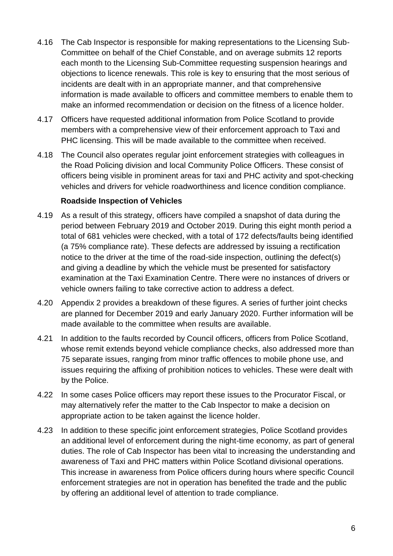- 4.16 The Cab Inspector is responsible for making representations to the Licensing Sub-Committee on behalf of the Chief Constable, and on average submits 12 reports each month to the Licensing Sub-Committee requesting suspension hearings and objections to licence renewals. This role is key to ensuring that the most serious of incidents are dealt with in an appropriate manner, and that comprehensive information is made available to officers and committee members to enable them to make an informed recommendation or decision on the fitness of a licence holder.
- 4.17 Officers have requested additional information from Police Scotland to provide members with a comprehensive view of their enforcement approach to Taxi and PHC licensing. This will be made available to the committee when received.
- 4.18 The Council also operates regular joint enforcement strategies with colleagues in the Road Policing division and local Community Police Officers. These consist of officers being visible in prominent areas for taxi and PHC activity and spot-checking vehicles and drivers for vehicle roadworthiness and licence condition compliance.

#### **Roadside Inspection of Vehicles**

- 4.19 As a result of this strategy, officers have compiled a snapshot of data during the period between February 2019 and October 2019. During this eight month period a total of 681 vehicles were checked, with a total of 172 defects/faults being identified (a 75% compliance rate). These defects are addressed by issuing a rectification notice to the driver at the time of the road-side inspection, outlining the defect(s) and giving a deadline by which the vehicle must be presented for satisfactory examination at the Taxi Examination Centre. There were no instances of drivers or vehicle owners failing to take corrective action to address a defect.
- 4.20 Appendix 2 provides a breakdown of these figures. A series of further joint checks are planned for December 2019 and early January 2020. Further information will be made available to the committee when results are available.
- 4.21 In addition to the faults recorded by Council officers, officers from Police Scotland, whose remit extends beyond vehicle compliance checks, also addressed more than 75 separate issues, ranging from minor traffic offences to mobile phone use, and issues requiring the affixing of prohibition notices to vehicles. These were dealt with by the Police.
- 4.22 In some cases Police officers may report these issues to the Procurator Fiscal, or may alternatively refer the matter to the Cab Inspector to make a decision on appropriate action to be taken against the licence holder.
- 4.23 In addition to these specific joint enforcement strategies, Police Scotland provides an additional level of enforcement during the night-time economy, as part of general duties. The role of Cab Inspector has been vital to increasing the understanding and awareness of Taxi and PHC matters within Police Scotland divisional operations. This increase in awareness from Police officers during hours where specific Council enforcement strategies are not in operation has benefited the trade and the public by offering an additional level of attention to trade compliance.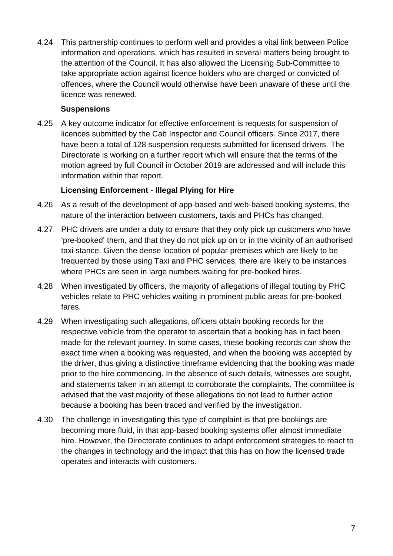4.24 This partnership continues to perform well and provides a vital link between Police information and operations, which has resulted in several matters being brought to the attention of the Council. It has also allowed the Licensing Sub-Committee to take appropriate action against licence holders who are charged or convicted of offences, where the Council would otherwise have been unaware of these until the licence was renewed.

#### **Suspensions**

4.25 A key outcome indicator for effective enforcement is requests for suspension of licences submitted by the Cab Inspector and Council officers. Since 2017, there have been a total of 128 suspension requests submitted for licensed drivers. The Directorate is working on a further report which will ensure that the terms of the motion agreed by full Council in October 2019 are addressed and will include this information within that report.

#### **Licensing Enforcement - Illegal Plying for Hire**

- 4.26 As a result of the development of app-based and web-based booking systems, the nature of the interaction between customers, taxis and PHCs has changed.
- 4.27 PHC drivers are under a duty to ensure that they only pick up customers who have 'pre-booked' them, and that they do not pick up on or in the vicinity of an authorised taxi stance. Given the dense location of popular premises which are likely to be frequented by those using Taxi and PHC services, there are likely to be instances where PHCs are seen in large numbers waiting for pre-booked hires.
- 4.28 When investigated by officers, the majority of allegations of illegal touting by PHC vehicles relate to PHC vehicles waiting in prominent public areas for pre-booked fares.
- 4.29 When investigating such allegations, officers obtain booking records for the respective vehicle from the operator to ascertain that a booking has in fact been made for the relevant journey. In some cases, these booking records can show the exact time when a booking was requested, and when the booking was accepted by the driver, thus giving a distinctive timeframe evidencing that the booking was made prior to the hire commencing. In the absence of such details, witnesses are sought, and statements taken in an attempt to corroborate the complaints. The committee is advised that the vast majority of these allegations do not lead to further action because a booking has been traced and verified by the investigation.
- 4.30 The challenge in investigating this type of complaint is that pre-bookings are becoming more fluid, in that app-based booking systems offer almost immediate hire. However, the Directorate continues to adapt enforcement strategies to react to the changes in technology and the impact that this has on how the licensed trade operates and interacts with customers.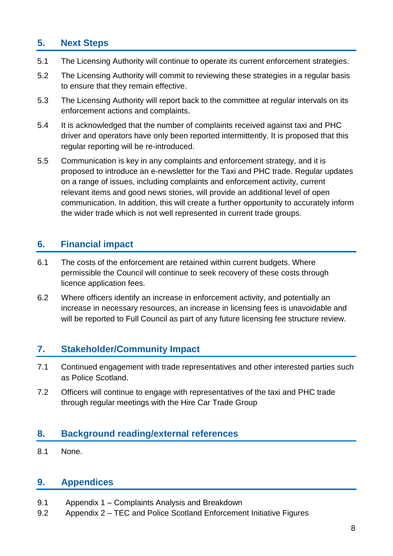# **5. Next Steps**

- 5.1 The Licensing Authority will continue to operate its current enforcement strategies.
- 5.2 The Licensing Authority will commit to reviewing these strategies in a regular basis to ensure that they remain effective.
- 5.3 The Licensing Authority will report back to the committee at regular intervals on its enforcement actions and complaints.
- 5.4 It is acknowledged that the number of complaints received against taxi and PHC driver and operators have only been reported intermittently. It is proposed that this regular reporting will be re-introduced.
- 5.5 Communication is key in any complaints and enforcement strategy, and it is proposed to introduce an e-newsletter for the Taxi and PHC trade. Regular updates on a range of issues, including complaints and enforcement activity, current relevant items and good news stories, will provide an additional level of open communication. In addition, this will create a further opportunity to accurately inform the wider trade which is not well represented in current trade groups.

### **6. Financial impact**

- 6.1 The costs of the enforcement are retained within current budgets. Where permissible the Council will continue to seek recovery of these costs through licence application fees.
- 6.2 Where officers identify an increase in enforcement activity, and potentially an increase in necessary resources, an increase in licensing fees is unavoidable and will be reported to Full Council as part of any future licensing fee structure review.

#### **7. Stakeholder/Community Impact**

- 7.1 Continued engagement with trade representatives and other interested parties such as Police Scotland.
- 7.2 Officers will continue to engage with representatives of the taxi and PHC trade through regular meetings with the Hire Car Trade Group

#### **8. Background reading/external references**

8.1 None.

### **9. Appendices**

- 9.1 Appendix 1 Complaints Analysis and Breakdown
- 9.2 Appendix 2 TEC and Police Scotland Enforcement Initiative Figures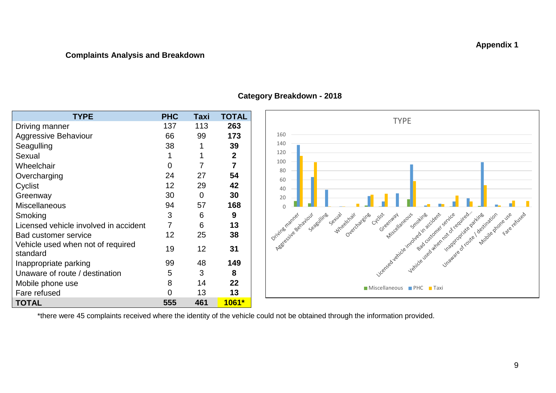#### **Complaints Analysis and Breakdown**

| <b>TYPE</b>                                   | <b>PHC</b>      | Taxi | TOTAL          |
|-----------------------------------------------|-----------------|------|----------------|
| Driving manner                                | 137             | 113  | 263            |
| <b>Aggressive Behaviour</b>                   | 66              | 99   | 173            |
| Seagulling                                    | 38              | 1    | 39             |
| Sexual                                        | 1               |      | $\mathbf{2}$   |
| Wheelchair                                    | 0               | 7    | $\overline{7}$ |
| Overcharging                                  | 24              | 27   | 54             |
| Cyclist                                       | 12              | 29   | 42             |
| Greenway                                      | 30              | 0    | 30             |
| <b>Miscellaneous</b>                          | 94              | 57   | 168            |
| Smoking                                       | 3               | 6    | 9              |
| Licensed vehicle involved in accident         | $\overline{7}$  | 6    | 13             |
| <b>Bad customer service</b>                   | 12 <sub>2</sub> | 25   | 38             |
| Vehicle used when not of required<br>standard | 19              | 12   | 31             |
| Inappropriate parking                         | 99              | 48   | 149            |
| Unaware of route / destination                | 5               | 3    | 8              |
| Mobile phone use                              | 8               | 14   | 22             |
| Fare refused                                  | 0               | 13   | 13             |
| <b>TOTAL</b>                                  | 555             | 461  | 1061*          |

#### **Category Breakdown - 2018**



\*there were 45 complaints received where the identity of the vehicle could not be obtained through the information provided.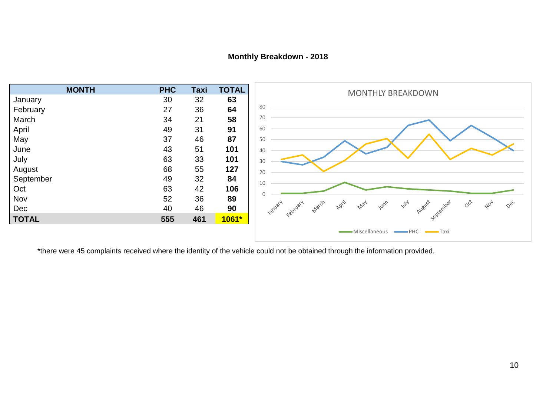#### **Monthly Breakdown - 2018**



\*there were 45 complaints received where the identity of the vehicle could not be obtained through the information provided.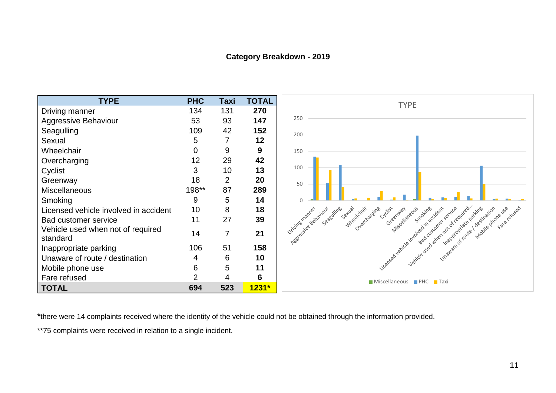#### **Category Breakdown - 2019**



**\***there were 14 complaints received where the identity of the vehicle could not be obtained through the information provided.

\*\*75 complaints were received in relation to a single incident.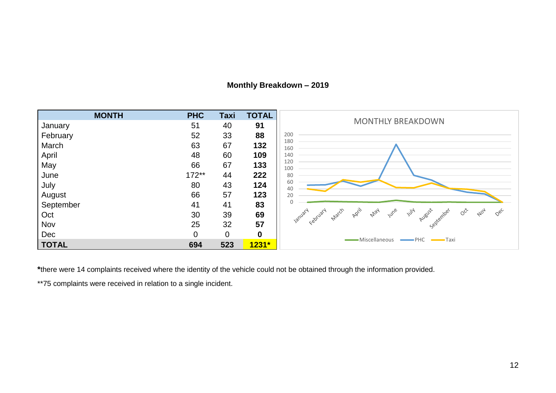| <b>MONTH</b> | <b>PHC</b>     | Taxi           | <b>TOTAL</b> |                                                                                                                                                                                                                                        |
|--------------|----------------|----------------|--------------|----------------------------------------------------------------------------------------------------------------------------------------------------------------------------------------------------------------------------------------|
| January      | 51             | 40             | 91           | <b>MONTHLY BREAKDOWN</b>                                                                                                                                                                                                               |
| February     | 52             | 33             | 88           | 200                                                                                                                                                                                                                                    |
| March        | 63             | 67             | 132          | 180<br>160                                                                                                                                                                                                                             |
| April        | 48             | 60             | 109          | 140                                                                                                                                                                                                                                    |
| May          | 66             | 67             | 133          | 120<br>100                                                                                                                                                                                                                             |
| June         | $172**$        | 44             | 222          | 80                                                                                                                                                                                                                                     |
| July         | 80             | 43             | 124          | 60<br>40                                                                                                                                                                                                                               |
| August       | 66             | 57             | 123          | 20                                                                                                                                                                                                                                     |
| September    | 41             | 41             | 83           |                                                                                                                                                                                                                                        |
| Oct          | 30             | 39             | 69           | April<br><b>IUM</b> e<br>lanuary<br>May<br>$y^{\prime\prime\prime\prime}$<br>August<br>$O^{\check{C}^c}$<br>March<br>$Q$ ec<br>September<br>$A^{\circlearrowright\hspace{-0.5pt}\raisebox{-0.7pt}{\tiny\hspace{-0.5pt}Q}}$<br>February |
| Nov          | 25             | 32             | 57           |                                                                                                                                                                                                                                        |
| Dec          | $\overline{0}$ | $\overline{0}$ | $\mathbf 0$  |                                                                                                                                                                                                                                        |
| <b>TOTAL</b> | 694            | 523            | $1231*$      | · Miscellaneous<br><b>Taxi</b> PHC <b>Taxi</b>                                                                                                                                                                                         |

#### **Monthly Breakdown – 2019**

**\***there were 14 complaints received where the identity of the vehicle could not be obtained through the information provided.

\*\*75 complaints were received in relation to a single incident.